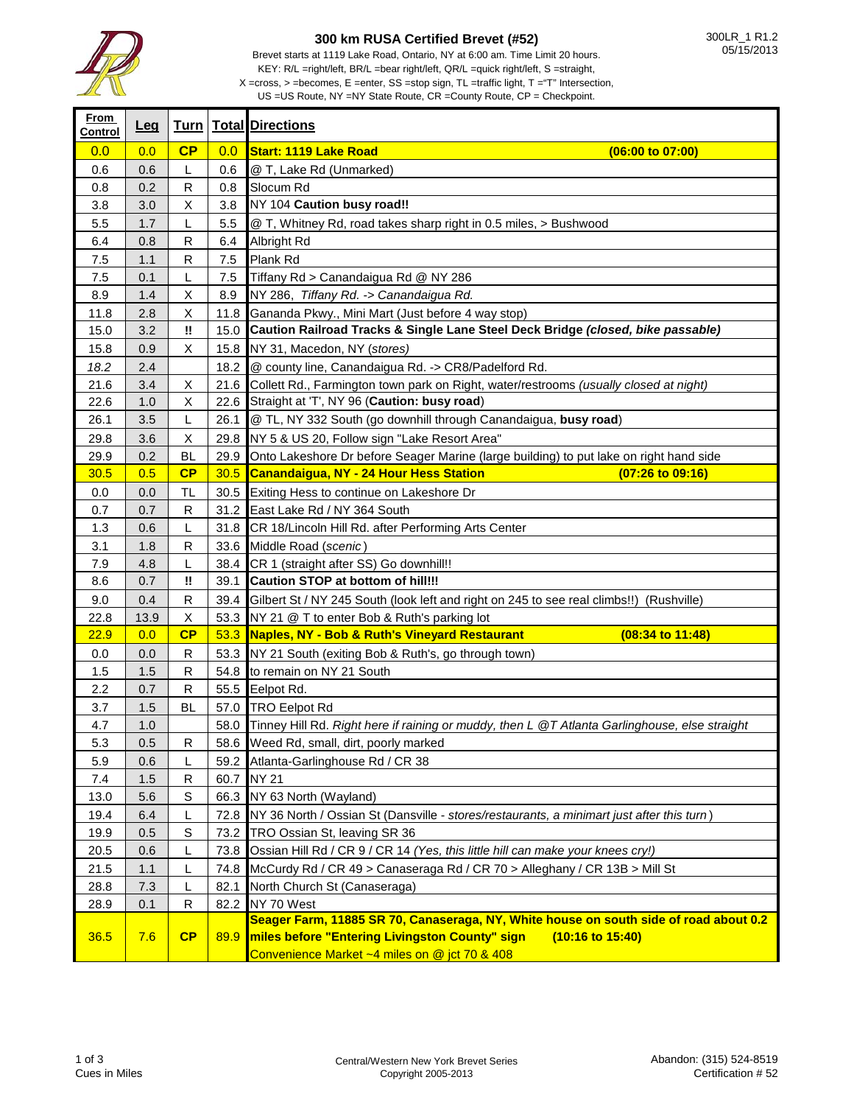

## **300 km RUSA Certified Brevet (#52)**

 $X = cross, > = becomes, E = enter, SS = stop sign, TL = traffic light, T = "T" Intersection,$ 

US =US Route, NY =NY State Route, CR =County Route, CP = Checkpoint.

| <b>From</b><br>Control | <u>Leg</u> |           |      | <b>Turn   Total Directions</b>                                                                     |
|------------------------|------------|-----------|------|----------------------------------------------------------------------------------------------------|
| 0.0                    | 0.0        | CP        | 0.0  | <b>Start: 1119 Lake Road</b><br>(06:00 to 07:00)                                                   |
| 0.6                    | 0.6        | L         | 0.6  | @ T, Lake Rd (Unmarked)                                                                            |
| 0.8                    | 0.2        | R         | 0.8  | Slocum Rd                                                                                          |
| 3.8                    | 3.0        | X         | 3.8  | NY 104 Caution busy road!!                                                                         |
| 5.5                    | 1.7        | L         | 5.5  | @ T, Whitney Rd, road takes sharp right in 0.5 miles, > Bushwood                                   |
| 6.4                    | 0.8        | R         | 6.4  | Albright Rd                                                                                        |
| 7.5                    | 1.1        | R         | 7.5  | Plank Rd                                                                                           |
| 7.5                    | 0.1        | L         | 7.5  | Tiffany Rd > Canandaigua Rd @ NY 286                                                               |
| 8.9                    | 1.4        | X         | 8.9  | NY 286, Tiffany Rd. -> Canandaigua Rd.                                                             |
| 11.8                   | 2.8        | Χ         |      | 11.8 Gananda Pkwy., Mini Mart (Just before 4 way stop)                                             |
| 15.0                   | 3.2        | W         | 15.0 | Caution Railroad Tracks & Single Lane Steel Deck Bridge (closed, bike passable)                    |
| 15.8                   | 0.9        | X         |      | 15.8 NY 31, Macedon, NY (stores)                                                                   |
| 18.2                   | 2.4        |           |      | 18.2 @ county line, Canandaigua Rd. -> CR8/Padelford Rd.                                           |
| 21.6                   | 3.4        | X         |      | 21.6 Collett Rd., Farmington town park on Right, water/restrooms (usually closed at night)         |
| 22.6                   | 1.0        | X         |      | 22.6 Straight at 'T', NY 96 (Caution: busy road)                                                   |
| 26.1                   | 3.5        | L         | 26.1 | @ TL, NY 332 South (go downhill through Canandaigua, busy road)                                    |
| 29.8                   | 3.6        | X         |      | 29.8 NY 5 & US 20, Follow sign "Lake Resort Area"                                                  |
| 29.9                   | 0.2        | <b>BL</b> |      | 29.9 Onto Lakeshore Dr before Seager Marine (large building) to put lake on right hand side        |
| 30.5                   | 0.5        | CP        | 30.5 | Canandaigua, NY - 24 Hour Hess Station<br>$(07:26 \text{ to } 09:16)$                              |
| 0.0                    | 0.0        | TL        |      | 30.5 Exiting Hess to continue on Lakeshore Dr                                                      |
| 0.7                    | 0.7        | R         |      | 31.2 East Lake Rd / NY 364 South                                                                   |
| 1.3                    | 0.6        | L         |      | 31.8 CR 18/Lincoln Hill Rd. after Performing Arts Center                                           |
| 3.1                    | 1.8        | R         |      | 33.6 Middle Road (scenic)                                                                          |
| 7.9                    | 4.8        | L         | 38.4 | CR 1 (straight after SS) Go downhill!!                                                             |
| 8.6                    | 0.7        | W         | 39.1 | Caution STOP at bottom of hill!!!                                                                  |
| $9.0\,$                | 0.4        | R         |      | 39.4 Gilbert St / NY 245 South (look left and right on 245 to see real climbs!!) (Rushville)       |
| 22.8                   | 13.9       | Χ         |      | 53.3 NY 21 @ T to enter Bob & Ruth's parking lot                                                   |
| 22.9                   | 0.0        | CP        |      | 53.3 Naples, NY - Bob & Ruth's Vineyard Restaurant<br>(08:34 to 11:48)                             |
| 0.0                    | 0.0        | R         |      | 53.3 NY 21 South (exiting Bob & Ruth's, go through town)                                           |
| 1.5                    | 1.5        | R         |      | 54.8 to remain on NY 21 South                                                                      |
| 2.2                    | 0.7        | R         |      | 55.5 Eelpot Rd.                                                                                    |
| 3.7                    | 1.5        | BL        |      | 57.0 TRO Eelpot Rd                                                                                 |
| 4.7                    | 1.0        |           |      | 58.0 Tinney Hill Rd. Right here if raining or muddy, then L @T Atlanta Garlinghouse, else straight |
| 5.3                    | 0.5        | R         |      | 58.6 Weed Rd, small, dirt, poorly marked                                                           |
| 5.9                    | 0.6        | L         |      | 59.2 Atlanta-Garlinghouse Rd / CR 38                                                               |
| $7.4$                  | 1.5        | R         |      | 60.7 NY 21                                                                                         |
| 13.0                   | 5.6        | S         |      | 66.3 NY 63 North (Wayland)                                                                         |
| 19.4                   | 6.4        | L         |      | 72.8 NY 36 North / Ossian St (Dansville - stores/restaurants, a minimart just after this turn)     |
| 19.9                   | 0.5        | S         |      | 73.2 TRO Ossian St, leaving SR 36                                                                  |
| 20.5                   | 0.6        | L         |      | 73.8 Ossian Hill Rd / CR 9 / CR 14 (Yes, this little hill can make your knees cry!)                |
| 21.5                   | 1.1        | L         | 74.8 | McCurdy Rd / CR 49 > Canaseraga Rd / CR 70 > Alleghany / CR 13B > Mill St                          |
| 28.8                   | 7.3        | L         | 82.1 | North Church St (Canaseraga)                                                                       |
| 28.9                   | 0.1        | R         |      | 82.2 NY 70 West                                                                                    |
|                        |            |           |      | Seager Farm, 11885 SR 70, Canaseraga, NY, White house on south side of road about 0.2              |
| 36.5                   | 7.6        | CP        | 89.9 | miles before "Entering Livingston County" sign<br>$(10:16 \text{ to } 15:40)$                      |
|                        |            |           |      | Convenience Market ~4 miles on @ jct 70 & 408                                                      |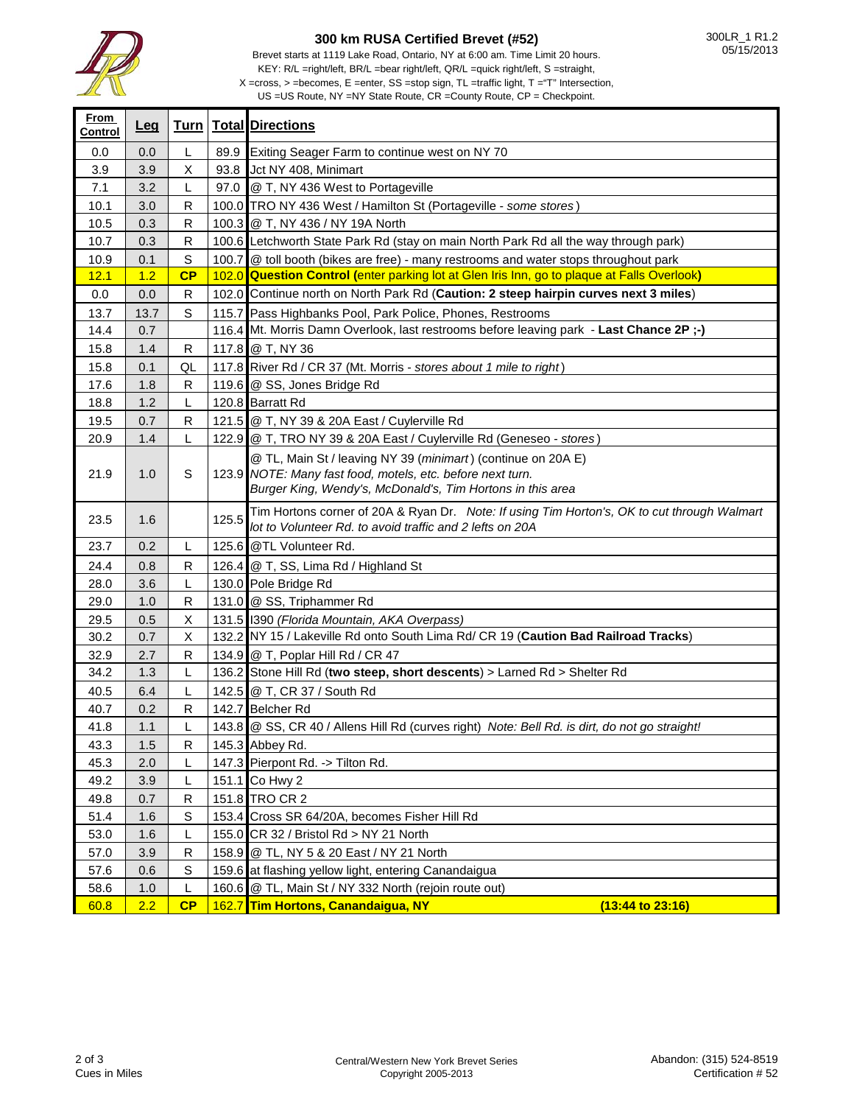

┱

**From** 

## **300 km RUSA Certified Brevet (#52)**

Brevet starts at 1119 Lake Road, Ontario, NY at 6:00 am. Time Limit 20 hours. KEY: R/L =right/left, BR/L =bear right/left, QR/L =quick right/left, S =straight,

 $X = cross, > = becomes, E = enter, SS = stop sign, TL = traffic light, T = "T" Intersection,$ 

US =US Route, NY =NY State Route, CR =County Route, CP = Checkpoint.

| <u> רוטוו</u><br>Control | <u>Leg</u> |              |       | <b>Turn Total Directions</b>                                                                                                                                                             |
|--------------------------|------------|--------------|-------|------------------------------------------------------------------------------------------------------------------------------------------------------------------------------------------|
| 0.0                      | 0.0        | L            |       | 89.9 Exiting Seager Farm to continue west on NY 70                                                                                                                                       |
| 3.9                      | 3.9        | Χ            |       | 93.8 Jct NY 408, Minimart                                                                                                                                                                |
| 7.1                      | 3.2        | L            |       | 97.0 @ T, NY 436 West to Portageville                                                                                                                                                    |
| 10.1                     | 3.0        | R            |       | 100.0 TRO NY 436 West / Hamilton St (Portageville - some stores)                                                                                                                         |
| 10.5                     | 0.3        | R            |       | 100.3 @ T, NY 436 / NY 19A North                                                                                                                                                         |
| 10.7                     | 0.3        | $\mathsf R$  |       | 100.6 Letchworth State Park Rd (stay on main North Park Rd all the way through park)                                                                                                     |
| 10.9                     | 0.1        | $\mathbf S$  |       | 100.7 @ toll booth (bikes are free) - many restrooms and water stops throughout park                                                                                                     |
| 12.1                     | 1.2        | CP           |       | 102.0 Question Control (enter parking lot at Glen Iris Inn, go to plaque at Falls Overlook)                                                                                              |
| 0.0                      | 0.0        | $\mathsf{R}$ |       | 102.0 Continue north on North Park Rd (Caution: 2 steep hairpin curves next 3 miles)                                                                                                     |
| 13.7                     | 13.7       | $\mathbf S$  |       | 115.7 Pass Highbanks Pool, Park Police, Phones, Restrooms                                                                                                                                |
| 14.4                     | 0.7        |              |       | 116.4 Mt. Morris Damn Overlook, last restrooms before leaving park - Last Chance 2P ;-)                                                                                                  |
| 15.8                     | 1.4        | R            |       | 117.8 @ T, NY 36                                                                                                                                                                         |
| 15.8                     | 0.1        | QL           |       | 117.8 River Rd / CR 37 (Mt. Morris - stores about 1 mile to right)                                                                                                                       |
| 17.6                     | 1.8        | R            |       | 119.6 @ SS, Jones Bridge Rd                                                                                                                                                              |
| 18.8                     | 1.2        | L            |       | 120.8 Barratt Rd                                                                                                                                                                         |
| 19.5                     | 0.7        | R            |       | 121.5 @ T, NY 39 & 20A East / Cuylerville Rd                                                                                                                                             |
| 20.9                     | 1.4        | L            |       | 122.9 @ T, TRO NY 39 & 20A East / Cuylerville Rd (Geneseo - stores)                                                                                                                      |
| 21.9                     | 1.0        | S            |       | @ TL, Main St / leaving NY 39 (minimart) (continue on 20A E)<br>123.9 NOTE: Many fast food, motels, etc. before next turn.<br>Burger King, Wendy's, McDonald's, Tim Hortons in this area |
|                          |            |              |       |                                                                                                                                                                                          |
| 23.5                     | 1.6        |              | 125.5 | Tim Hortons corner of 20A & Ryan Dr. Note: If using Tim Horton's, OK to cut through Walmart<br>lot to Volunteer Rd. to avoid traffic and 2 lefts on 20A                                  |
| 23.7                     | 0.2        | L            |       | 125.6 @TL Volunteer Rd.                                                                                                                                                                  |
| 24.4                     | 0.8        | R            |       | 126.4 @ T, SS, Lima Rd / Highland St                                                                                                                                                     |
| 28.0                     | 3.6        | L            |       | 130.0 Pole Bridge Rd                                                                                                                                                                     |
| 29.0                     | 1.0        | R            |       | 131.0 @ SS, Triphammer Rd                                                                                                                                                                |
| 29.5                     | 0.5        | Х            |       | 131.5 1390 (Florida Mountain, AKA Overpass)                                                                                                                                              |
| 30.2                     | 0.7        | Χ            |       | 132.2 NY 15 / Lakeville Rd onto South Lima Rd/ CR 19 (Caution Bad Railroad Tracks)                                                                                                       |
| 32.9                     | 2.7        | R            |       | 134.9 @ T, Poplar Hill Rd / CR 47                                                                                                                                                        |
| 34.2                     | 1.3        | L            |       | 136.2 Stone Hill Rd (two steep, short descents) > Larned Rd > Shelter Rd                                                                                                                 |
| 40.5                     | 6.4        | L            |       | 142.5 @ T, CR 37 / South Rd                                                                                                                                                              |
| 40.7                     | 0.2        | R            |       | 142.7 Belcher Rd                                                                                                                                                                         |
| 41.8                     | 1.1        | L            |       | 143.8 @ SS, CR 40 / Allens Hill Rd (curves right) Note: Bell Rd. is dirt, do not go straight!                                                                                            |
| 43.3                     | 1.5        | R            |       | 145.3 Abbey Rd.                                                                                                                                                                          |
| 45.3                     | 2.0        | L            |       | 147.3 Pierpont Rd. -> Tilton Rd.                                                                                                                                                         |
| 49.2                     | 3.9        | L            |       | 151.1 Co Hwy 2                                                                                                                                                                           |
| 49.8                     | 0.7        | R            |       | 151.8 TRO CR 2                                                                                                                                                                           |
| 51.4                     | 1.6        | S            |       | 153.4 Cross SR 64/20A, becomes Fisher Hill Rd                                                                                                                                            |
| 53.0                     | 1.6        | L            |       | 155.0 CR 32 / Bristol Rd > NY 21 North                                                                                                                                                   |
| 57.0                     | 3.9        | R            |       | 158.9 @ TL, NY 5 & 20 East / NY 21 North                                                                                                                                                 |
| 57.6                     | 0.6        | S            |       | 159.6 at flashing yellow light, entering Canandaigua                                                                                                                                     |
| 58.6                     | 1.0        | L            |       | 160.6 @ TL, Main St / NY 332 North (rejoin route out)                                                                                                                                    |
| 60.8                     | 2.2        | CP           |       | 162.7 Tim Hortons, Canandaigua, NY<br>$(13:44$ to $23:16)$                                                                                                                               |